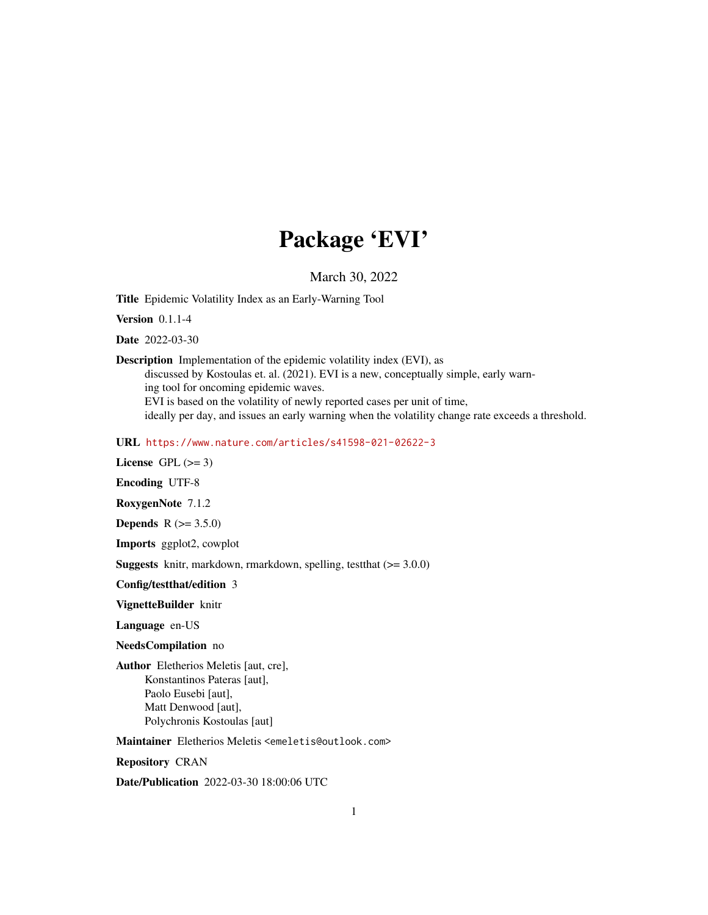# Package 'EVI'

March 30, 2022

<span id="page-0-0"></span>Title Epidemic Volatility Index as an Early-Warning Tool

Version 0.1.1-4

Date 2022-03-30

Description Implementation of the epidemic volatility index (EVI), as discussed by Kostoulas et. al. (2021). EVI is a new, conceptually simple, early warning tool for oncoming epidemic waves. EVI is based on the volatility of newly reported cases per unit of time, ideally per day, and issues an early warning when the volatility change rate exceeds a threshold.

URL <https://www.nature.com/articles/s41598-021-02622-3>

License GPL  $(>= 3)$ 

Encoding UTF-8

RoxygenNote 7.1.2

**Depends** R  $(>= 3.5.0)$ 

Imports ggplot2, cowplot

Suggests knitr, markdown, rmarkdown, spelling, testthat (>= 3.0.0)

Config/testthat/edition 3

VignetteBuilder knitr

Language en-US

NeedsCompilation no

Author Eletherios Meletis [aut, cre], Konstantinos Pateras [aut], Paolo Eusebi [aut], Matt Denwood [aut], Polychronis Kostoulas [aut]

Maintainer Eletherios Meletis <emeletis@outlook.com>

Repository CRAN

Date/Publication 2022-03-30 18:00:06 UTC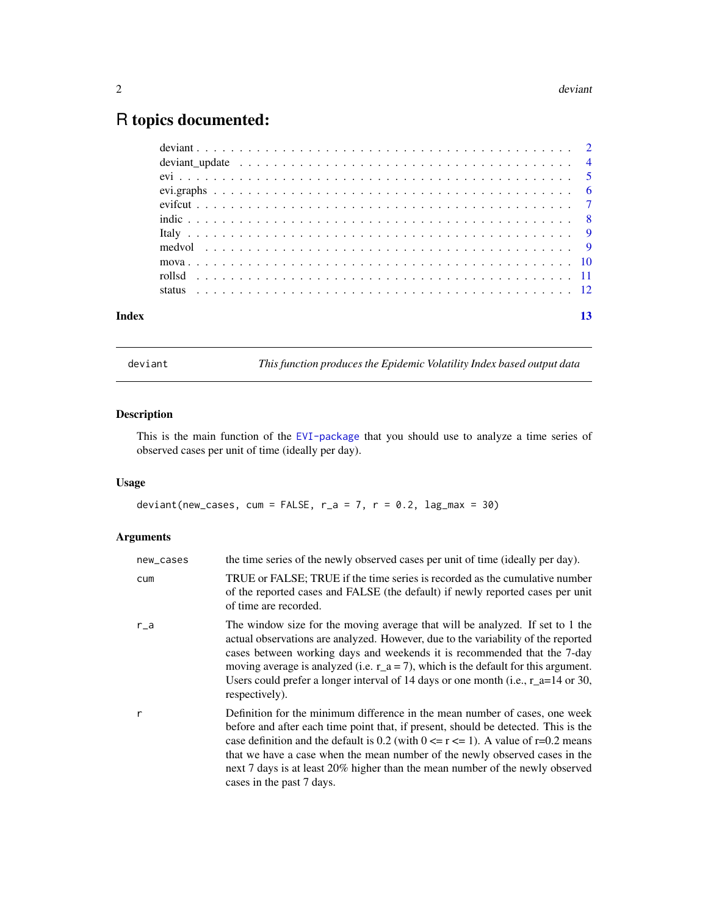# <span id="page-1-0"></span>R topics documented:

| Index |  |  |  |  |  |  |  |  |  |  |  |  |  |  |  |  |  |  |  |  | 13 |
|-------|--|--|--|--|--|--|--|--|--|--|--|--|--|--|--|--|--|--|--|--|----|

deviant *This function produces the Epidemic Volatility Index based output data*

# Description

This is the main function of the [EVI-package](#page-0-0) that you should use to analyze a time series of observed cases per unit of time (ideally per day).

# Usage

deviant(new\_cases, cum = FALSE,  $r_{-}a = 7$ ,  $r = 0.2$ , lag\_max = 30)

# Arguments

| new_cases | the time series of the newly observed cases per unit of time (ideally per day).                                                                                                                                                                                                                                                                                                                                                                          |
|-----------|----------------------------------------------------------------------------------------------------------------------------------------------------------------------------------------------------------------------------------------------------------------------------------------------------------------------------------------------------------------------------------------------------------------------------------------------------------|
| cum       | TRUE or FALSE; TRUE if the time series is recorded as the cumulative number<br>of the reported cases and FALSE (the default) if newly reported cases per unit<br>of time are recorded.                                                                                                                                                                                                                                                                   |
| $r_a$     | The window size for the moving average that will be analyzed. If set to 1 the<br>actual observations are analyzed. However, due to the variability of the reported<br>cases between working days and weekends it is recommended that the 7-day<br>moving average is analyzed (i.e. $r_a = 7$ ), which is the default for this argument.<br>Users could prefer a longer interval of 14 days or one month (i.e., $r_a = 14$ or 30,<br>respectively).       |
| r         | Definition for the minimum difference in the mean number of cases, one week<br>before and after each time point that, if present, should be detected. This is the<br>case definition and the default is 0.2 (with $0 \le r \le 1$ ). A value of r=0.2 means<br>that we have a case when the mean number of the newly observed cases in the<br>next 7 days is at least 20% higher than the mean number of the newly observed<br>cases in the past 7 days. |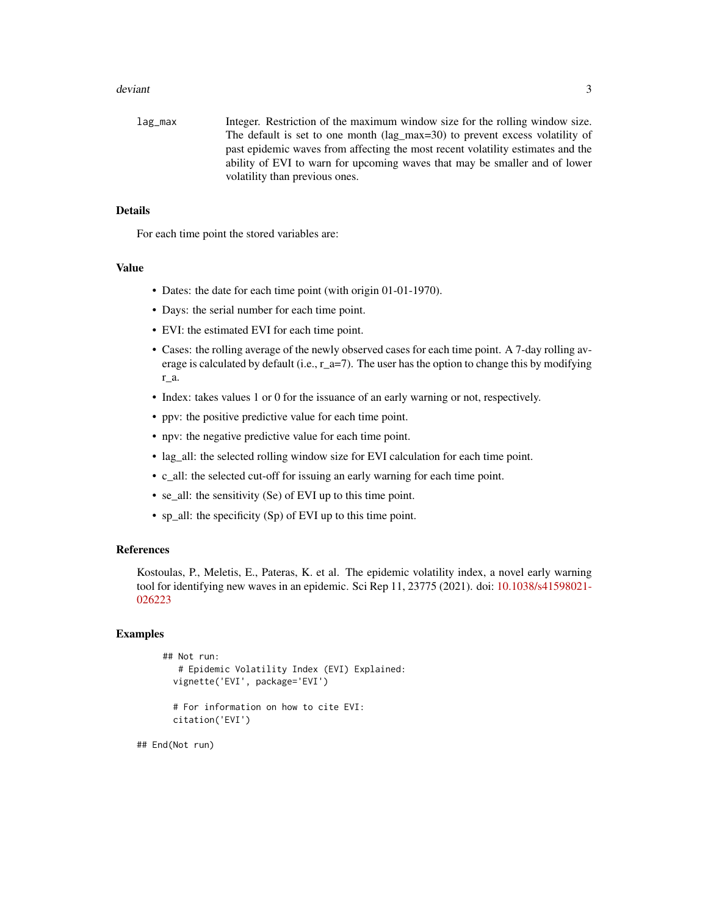#### deviant 3

lag\_max Integer. Restriction of the maximum window size for the rolling window size. The default is set to one month (lag\_max=30) to prevent excess volatility of past epidemic waves from affecting the most recent volatility estimates and the ability of EVI to warn for upcoming waves that may be smaller and of lower volatility than previous ones.

# Details

For each time point the stored variables are:

# Value

- Dates: the date for each time point (with origin 01-01-1970).
- Days: the serial number for each time point.
- EVI: the estimated EVI for each time point.
- Cases: the rolling average of the newly observed cases for each time point. A 7-day rolling average is calculated by default (i.e., r\_a=7). The user has the option to change this by modifying r\_a.
- Index: takes values 1 or 0 for the issuance of an early warning or not, respectively.
- ppv: the positive predictive value for each time point.
- npv: the negative predictive value for each time point.
- lag\_all: the selected rolling window size for EVI calculation for each time point.
- c\_all: the selected cut-off for issuing an early warning for each time point.
- se\_all: the sensitivity (Se) of EVI up to this time point.
- sp\_all: the specificity (Sp) of EVI up to this time point.

# References

Kostoulas, P., Meletis, E., Pateras, K. et al. The epidemic volatility index, a novel early warning tool for identifying new waves in an epidemic. Sci Rep 11, 23775 (2021). doi: [10.1038/s41598021-](https://doi.org/10.1038/s41598-021-02622-3) [026223](https://doi.org/10.1038/s41598-021-02622-3)

# Examples

```
## Not run:
  # Epidemic Volatility Index (EVI) Explained:
 vignette('EVI', package='EVI')
```
# For information on how to cite EVI: citation('EVI')

## End(Not run)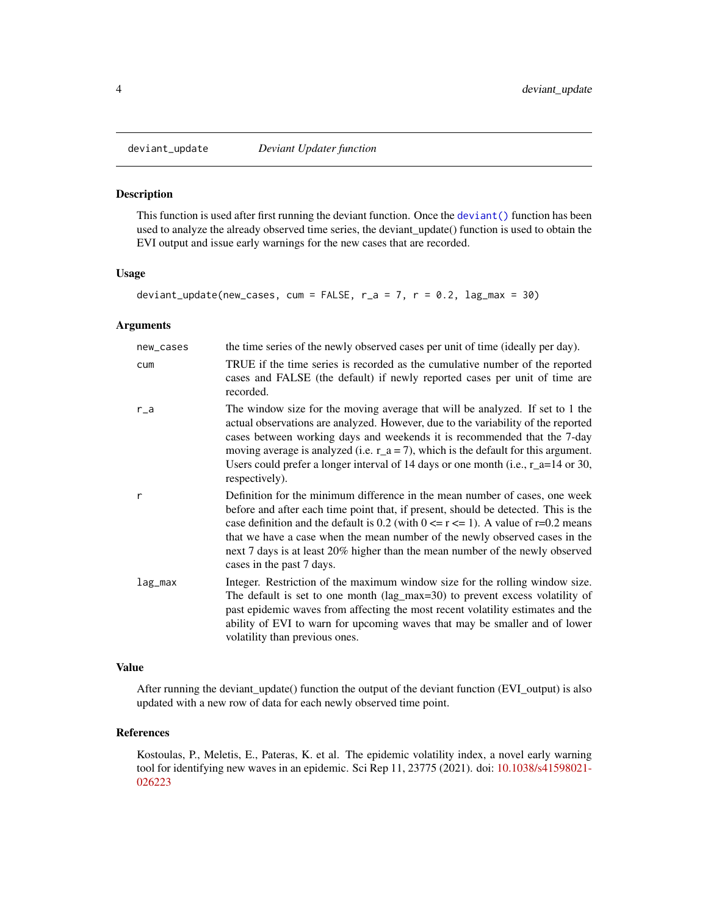This function is used after first running the deviant function. Once the [deviant\(\)](#page-0-0) function has been used to analyze the already observed time series, the deviant\_update() function is used to obtain the EVI output and issue early warnings for the new cases that are recorded.

#### Usage

```
deviant_update(new_cases, cum = FALSE, r_a = 7, r = 0.2, lag_max = 30)
```
# Arguments

| new_cases | the time series of the newly observed cases per unit of time (ideally per day).                                                                                                                                                                                                                                                                                                                                                                          |
|-----------|----------------------------------------------------------------------------------------------------------------------------------------------------------------------------------------------------------------------------------------------------------------------------------------------------------------------------------------------------------------------------------------------------------------------------------------------------------|
| cum       | TRUE if the time series is recorded as the cumulative number of the reported<br>cases and FALSE (the default) if newly reported cases per unit of time are<br>recorded.                                                                                                                                                                                                                                                                                  |
| $r_a$     | The window size for the moving average that will be analyzed. If set to 1 the<br>actual observations are analyzed. However, due to the variability of the reported<br>cases between working days and weekends it is recommended that the 7-day<br>moving average is analyzed (i.e. $r_a = 7$ ), which is the default for this argument.<br>Users could prefer a longer interval of 14 days or one month (i.e., $r_a = 14$ or 30,<br>respectively).       |
| r         | Definition for the minimum difference in the mean number of cases, one week<br>before and after each time point that, if present, should be detected. This is the<br>case definition and the default is 0.2 (with $0 \le r \le 1$ ). A value of r=0.2 means<br>that we have a case when the mean number of the newly observed cases in the<br>next 7 days is at least 20% higher than the mean number of the newly observed<br>cases in the past 7 days. |
| lag_max   | Integer. Restriction of the maximum window size for the rolling window size.<br>The default is set to one month $(lag_max=30)$ to prevent excess volatility of<br>past epidemic waves from affecting the most recent volatility estimates and the<br>ability of EVI to warn for upcoming waves that may be smaller and of lower<br>volatility than previous ones.                                                                                        |

# Value

After running the deviant\_update() function the output of the deviant function (EVI\_output) is also updated with a new row of data for each newly observed time point.

# References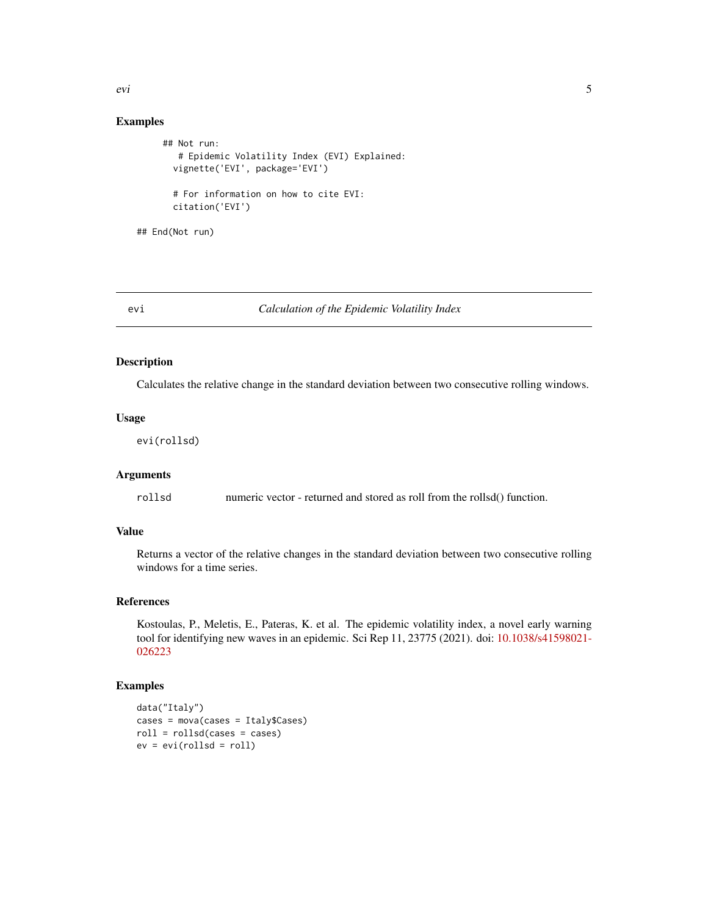# Examples

```
## Not run:
  # Epidemic Volatility Index (EVI) Explained:
 vignette('EVI', package='EVI')
 # For information on how to cite EVI:
 citation('EVI')
```
## End(Not run)

# evi *Calculation of the Epidemic Volatility Index*

# Description

Calculates the relative change in the standard deviation between two consecutive rolling windows.

# Usage

evi(rollsd)

# Arguments

rollsd numeric vector - returned and stored as roll from the rollsd() function.

# Value

Returns a vector of the relative changes in the standard deviation between two consecutive rolling windows for a time series.

# References

Kostoulas, P., Meletis, E., Pateras, K. et al. The epidemic volatility index, a novel early warning tool for identifying new waves in an epidemic. Sci Rep 11, 23775 (2021). doi: [10.1038/s41598021-](https://doi.org/10.1038/s41598-021-02622-3) [026223](https://doi.org/10.1038/s41598-021-02622-3)

# Examples

```
data("Italy")
cases = mova(cases = Italy$Cases)
roll = rollsd(cases = cases)
ev = evi(rollsd = roll)
```
<span id="page-4-0"></span>evi 5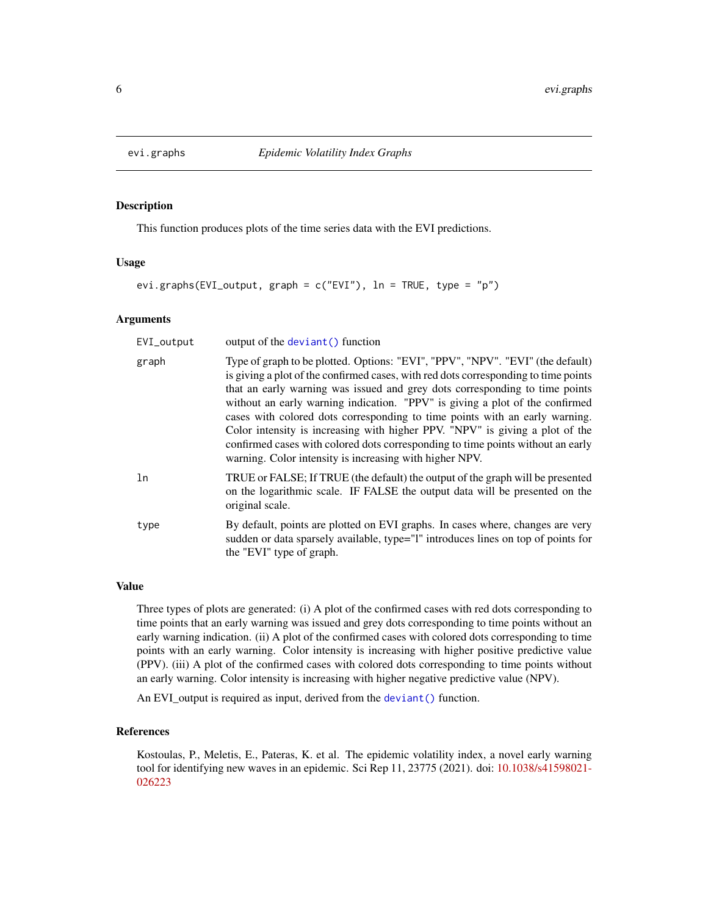<span id="page-5-0"></span>

This function produces plots of the time series data with the EVI predictions.

#### Usage

```
evi.graphs(EVI_output, graph = c("EVI"), ln = TRUE, type = "p")
```
#### Arguments

| EVI_output | output of the deviant () function                                                                                                                                                                                                                                                                                                                                                                                                                                                                                                                                                                                                                 |
|------------|---------------------------------------------------------------------------------------------------------------------------------------------------------------------------------------------------------------------------------------------------------------------------------------------------------------------------------------------------------------------------------------------------------------------------------------------------------------------------------------------------------------------------------------------------------------------------------------------------------------------------------------------------|
| graph      | Type of graph to be plotted. Options: "EVI", "PPV", "NPV". "EVI" (the default)<br>is giving a plot of the confirmed cases, with red dots corresponding to time points<br>that an early warning was issued and grey dots corresponding to time points<br>without an early warning indication. "PPV" is giving a plot of the confirmed<br>cases with colored dots corresponding to time points with an early warning.<br>Color intensity is increasing with higher PPV. "NPV" is giving a plot of the<br>confirmed cases with colored dots corresponding to time points without an early<br>warning. Color intensity is increasing with higher NPV. |
| ln         | TRUE or FALSE; If TRUE (the default) the output of the graph will be presented<br>on the logarithmic scale. IF FALSE the output data will be presented on the<br>original scale.                                                                                                                                                                                                                                                                                                                                                                                                                                                                  |
| type       | By default, points are plotted on EVI graphs. In cases where, changes are very<br>sudden or data sparsely available, type="1" introduces lines on top of points for<br>the "EVI" type of graph.                                                                                                                                                                                                                                                                                                                                                                                                                                                   |

# Value

Three types of plots are generated: (i) A plot of the confirmed cases with red dots corresponding to time points that an early warning was issued and grey dots corresponding to time points without an early warning indication. (ii) A plot of the confirmed cases with colored dots corresponding to time points with an early warning. Color intensity is increasing with higher positive predictive value (PPV). (iii) A plot of the confirmed cases with colored dots corresponding to time points without an early warning. Color intensity is increasing with higher negative predictive value (NPV).

An EVI\_output is required as input, derived from the [deviant\(\)](#page-0-0) function.

#### References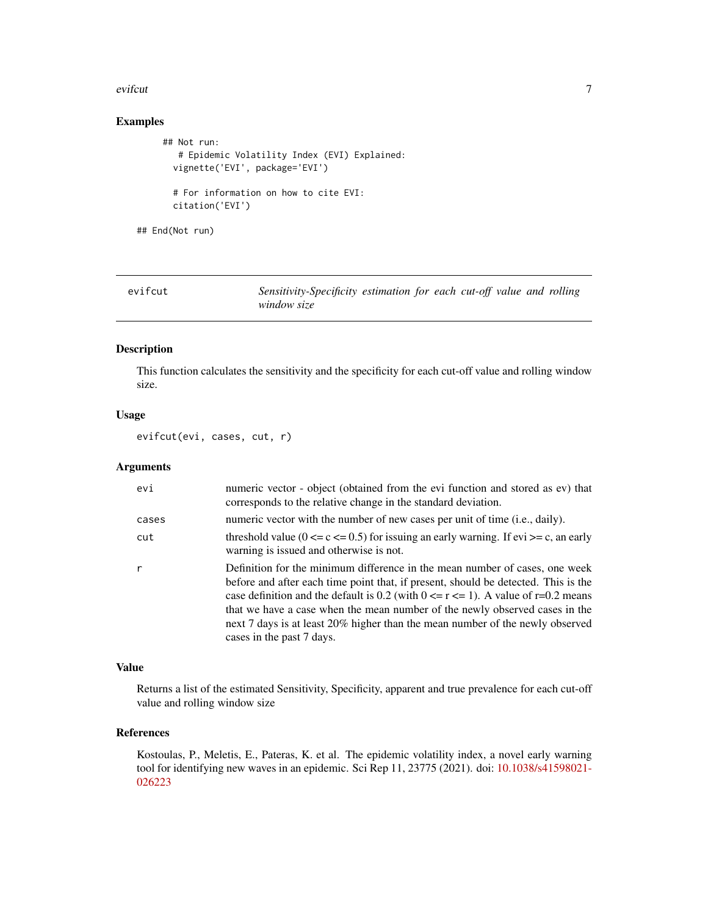#### <span id="page-6-0"></span>evifcut 7 and 2008 and 2008 and 2008 and 2008 and 2008 and 2008 and 2008 and 2008 and 2008 and 2008 and 2008 and 2008 and 2008 and 2008 and 2008 and 2008 and 2008 and 2008 and 2008 and 2008 and 2008 and 2008 and 2008 and 2

# Examples

```
## Not run:
  # Epidemic Volatility Index (EVI) Explained:
 vignette('EVI', package='EVI')
 # For information on how to cite EVI:
 citation('EVI')
```
## End(Not run)

| evifcut | Sensitivity-Specificity estimation for each cut-off value and rolling |  |  |  |
|---------|-----------------------------------------------------------------------|--|--|--|
|         | window size                                                           |  |  |  |

# Description

This function calculates the sensitivity and the specificity for each cut-off value and rolling window size.

# Usage

evifcut(evi, cases, cut, r)

#### Arguments

| evi          | numeric vector - object (obtained from the evi function and stored as ev) that<br>corresponds to the relative change in the standard deviation.                                                                                                                                                                                                                                                                                                          |
|--------------|----------------------------------------------------------------------------------------------------------------------------------------------------------------------------------------------------------------------------------------------------------------------------------------------------------------------------------------------------------------------------------------------------------------------------------------------------------|
| cases        | numeric vector with the number of new cases per unit of time (i.e., daily).                                                                                                                                                                                                                                                                                                                                                                              |
| cut          | threshold value ( $0 \le c \le 0.5$ ) for issuing an early warning. If evi $>= c$ , an early<br>warning is issued and otherwise is not.                                                                                                                                                                                                                                                                                                                  |
| $\mathsf{r}$ | Definition for the minimum difference in the mean number of cases, one week<br>before and after each time point that, if present, should be detected. This is the<br>case definition and the default is 0.2 (with $0 \le r \le 1$ ). A value of r=0.2 means<br>that we have a case when the mean number of the newly observed cases in the<br>next 7 days is at least 20% higher than the mean number of the newly observed<br>cases in the past 7 days. |

# Value

Returns a list of the estimated Sensitivity, Specificity, apparent and true prevalence for each cut-off value and rolling window size

# References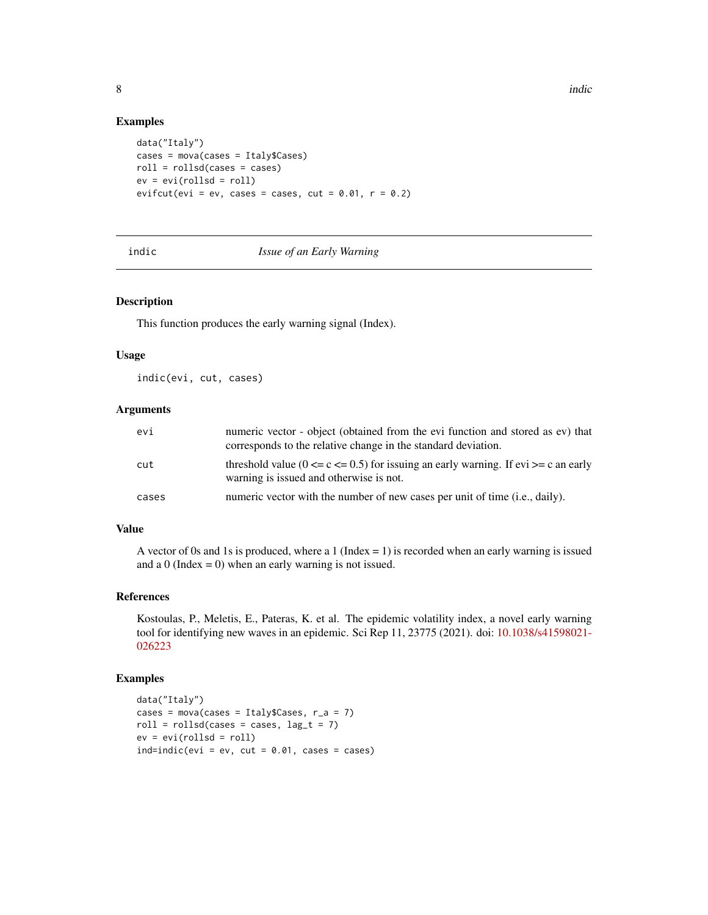#### Examples

```
data("Italy")
cases = mova(cases = Italy$Cases)
roll = rollsd(cases = cases)ev = evi(rollsd = roll)evifcut(evi = ev, cases = cases, cut = 0.01, r = 0.2)
```
# indic *Issue of an Early Warning*

#### Description

This function produces the early warning signal (Index).

# Usage

indic(evi, cut, cases)

# Arguments

| evi   | numeric vector - object (obtained from the evi function and stored as ev) that<br>corresponds to the relative change in the standard deviation. |
|-------|-------------------------------------------------------------------------------------------------------------------------------------------------|
| cut   | threshold value ( $0 \leq c \leq 0.5$ ) for issuing an early warning. If evi $\geq c$ an early<br>warning is issued and otherwise is not.       |
| cases | numeric vector with the number of new cases per unit of time (i.e., daily).                                                                     |

# Value

A vector of 0s and 1s is produced, where a 1 (Index  $= 1$ ) is recorded when an early warning is issued and a  $0$  (Index = 0) when an early warning is not issued.

# References

Kostoulas, P., Meletis, E., Pateras, K. et al. The epidemic volatility index, a novel early warning tool for identifying new waves in an epidemic. Sci Rep 11, 23775 (2021). doi: [10.1038/s41598021-](https://doi.org/10.1038/s41598-021-02622-3) [026223](https://doi.org/10.1038/s41598-021-02622-3)

# Examples

```
data("Italy")
cases = mova(cases = Italy$Cases, r_a = 7)
roll = rollsd(cases = cases, lag_t = 7)ev = evi(rollsd = roll)ind=indic(evi = ev, cut = 0.01, cases = cases)
```
<span id="page-7-0"></span>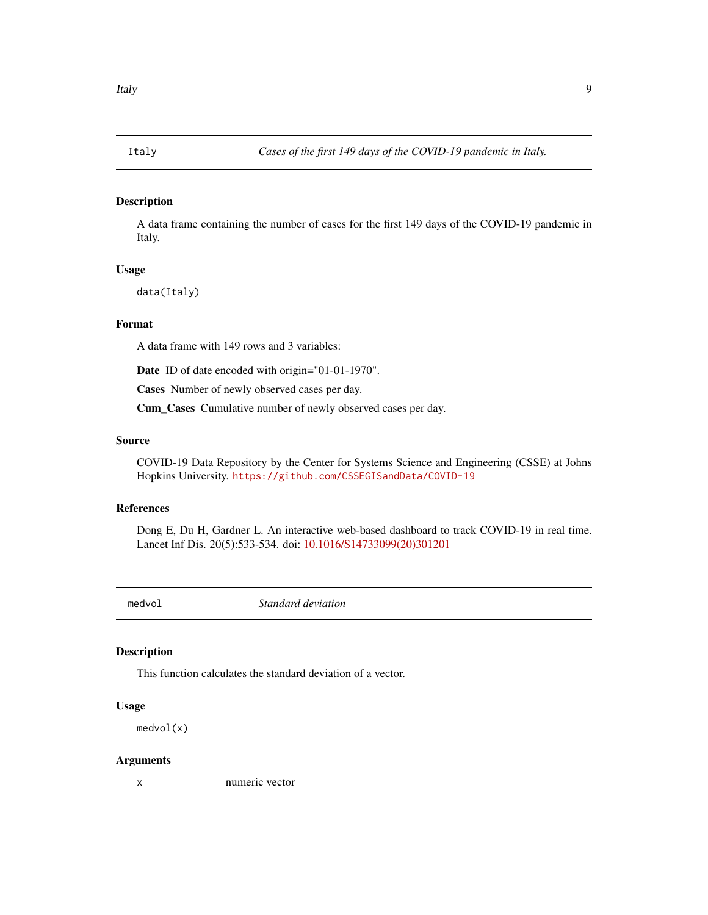<span id="page-8-0"></span>

A data frame containing the number of cases for the first 149 days of the COVID-19 pandemic in Italy.

### Usage

data(Italy)

# Format

A data frame with 149 rows and 3 variables:

Date ID of date encoded with origin="01-01-1970".

Cases Number of newly observed cases per day.

Cum\_Cases Cumulative number of newly observed cases per day.

#### Source

COVID-19 Data Repository by the Center for Systems Science and Engineering (CSSE) at Johns Hopkins University. <https://github.com/CSSEGISandData/COVID-19>

# References

Dong E, Du H, Gardner L. An interactive web-based dashboard to track COVID-19 in real time. Lancet Inf Dis. 20(5):533-534. doi: [10.1016/S14733099\(20\)301201](https://doi.org/10.1016/S1473-3099(20)30120-1)

medvol *Standard deviation*

# Description

This function calculates the standard deviation of a vector.

# Usage

medvol(x)

#### Arguments

x numeric vector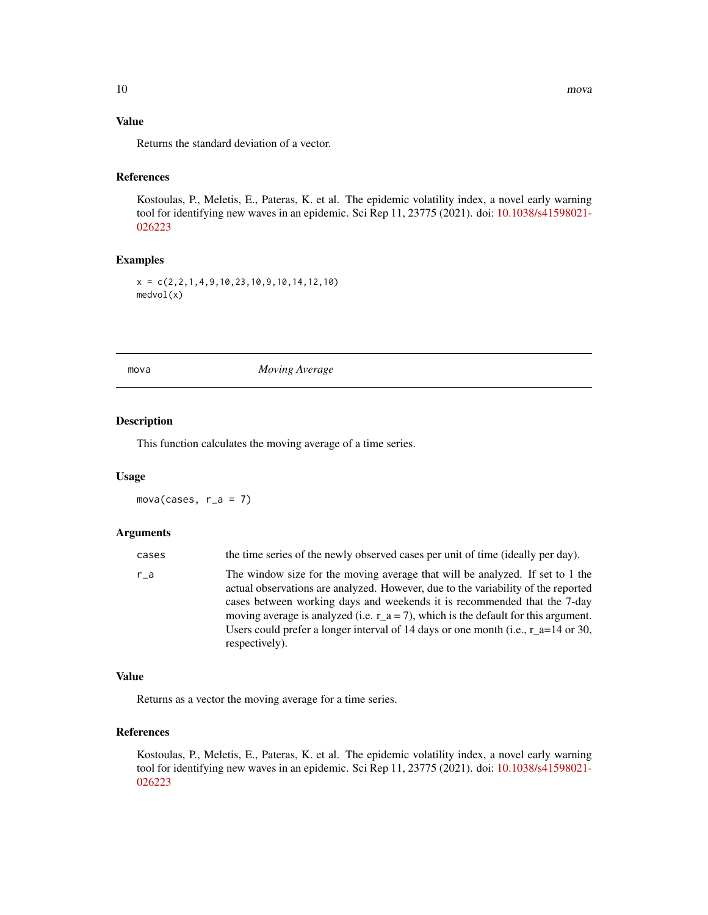# <span id="page-9-0"></span>Value

Returns the standard deviation of a vector.

# References

Kostoulas, P., Meletis, E., Pateras, K. et al. The epidemic volatility index, a novel early warning tool for identifying new waves in an epidemic. Sci Rep 11, 23775 (2021). doi: [10.1038/s41598021-](https://doi.org/10.1038/s41598-021-02622-3) [026223](https://doi.org/10.1038/s41598-021-02622-3)

# Examples

 $x = c(2, 2, 1, 4, 9, 10, 23, 10, 9, 10, 14, 12, 10)$ medvol(x)

mova *Moving Average*

# Description

This function calculates the moving average of a time series.

# Usage

mova(cases,  $r_a = 7$ )

# Arguments

| cases | the time series of the newly observed cases per unit of time (ideally per day).                                                                                                                                                                                                                                                                                                                                                                   |
|-------|---------------------------------------------------------------------------------------------------------------------------------------------------------------------------------------------------------------------------------------------------------------------------------------------------------------------------------------------------------------------------------------------------------------------------------------------------|
| r a   | The window size for the moving average that will be analyzed. If set to 1 the<br>actual observations are analyzed. However, due to the variability of the reported<br>cases between working days and weekends it is recommended that the 7-day<br>moving average is analyzed (i.e. $r_a = 7$ ), which is the default for this argument.<br>Users could prefer a longer interval of 14 days or one month (i.e., $r = -14$ or 30,<br>respectively). |

#### Value

Returns as a vector the moving average for a time series.

# References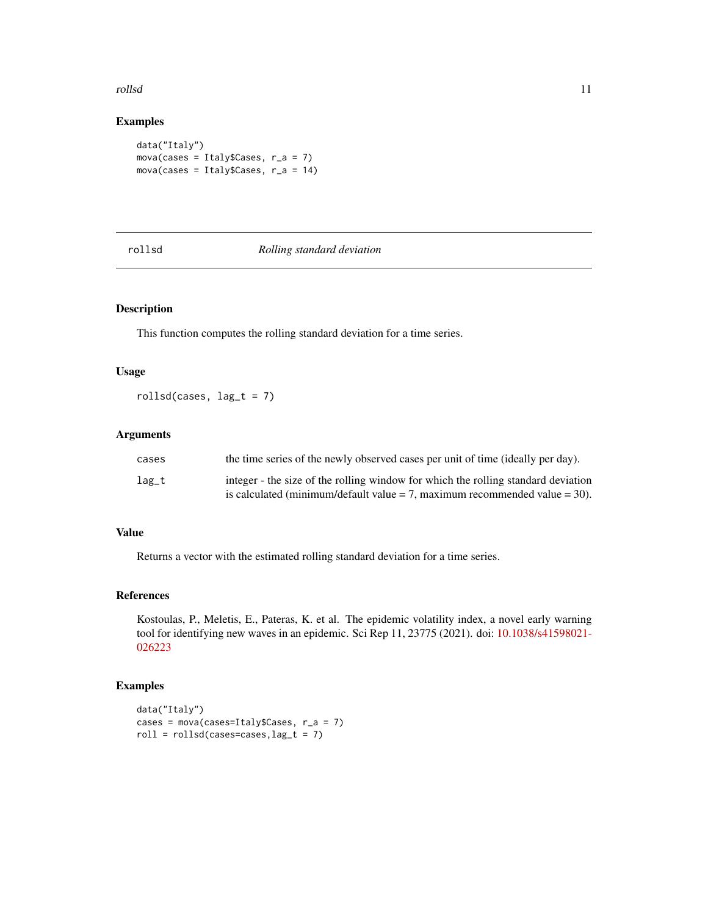#### <span id="page-10-0"></span>rollsd the control of the control of the control of the control of the control of the control of the control of the control of the control of the control of the control of the control of the control of the control of the c

# Examples

```
data("Italy")
mova(cases = Italy$Cases, r_a = 7)
mova(cases = Italy$Cases, r_a = 14)
```
# rollsd *Rolling standard deviation*

# Description

This function computes the rolling standard deviation for a time series.

# Usage

rollsd(cases,  $lag_t = 7$ )

# Arguments

| cases | the time series of the newly observed cases per unit of time (ideally per day).   |
|-------|-----------------------------------------------------------------------------------|
| lag_t | integer - the size of the rolling window for which the rolling standard deviation |
|       | is calculated (minimum/default value $= 7$ , maximum recommended value $= 30$ ).  |

# Value

Returns a vector with the estimated rolling standard deviation for a time series.

#### References

Kostoulas, P., Meletis, E., Pateras, K. et al. The epidemic volatility index, a novel early warning tool for identifying new waves in an epidemic. Sci Rep 11, 23775 (2021). doi: [10.1038/s41598021-](https://doi.org/10.1038/s41598-021-02622-3) [026223](https://doi.org/10.1038/s41598-021-02622-3)

# Examples

```
data("Italy")
cases = mova(cases=Italy$Cases, r_a = 7)
roll = rollsd(cases = cases, lag_t = 7)
```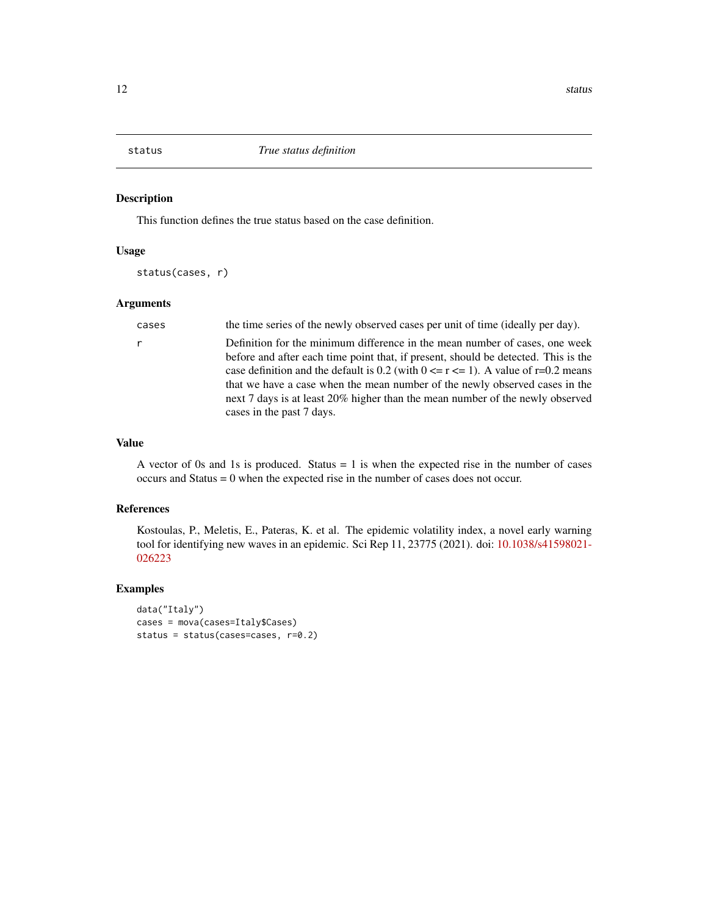<span id="page-11-0"></span>

This function defines the true status based on the case definition.

# Usage

status(cases, r)

#### Arguments

cases the time series of the newly observed cases per unit of time (ideally per day).

r Definition for the minimum difference in the mean number of cases, one week before and after each time point that, if present, should be detected. This is the case definition and the default is 0.2 (with  $0 \le r \le 1$ ). A value of r=0.2 means that we have a case when the mean number of the newly observed cases in the next 7 days is at least 20% higher than the mean number of the newly observed cases in the past 7 days.

# Value

A vector of 0s and 1s is produced. Status  $= 1$  is when the expected rise in the number of cases occurs and Status = 0 when the expected rise in the number of cases does not occur.

#### References

Kostoulas, P., Meletis, E., Pateras, K. et al. The epidemic volatility index, a novel early warning tool for identifying new waves in an epidemic. Sci Rep 11, 23775 (2021). doi: [10.1038/s41598021-](https://doi.org/10.1038/s41598-021-02622-3) [026223](https://doi.org/10.1038/s41598-021-02622-3)

#### Examples

```
data("Italy")
cases = mova(cases=Italy$Cases)
status = status(cases=cases, r=0.2)
```